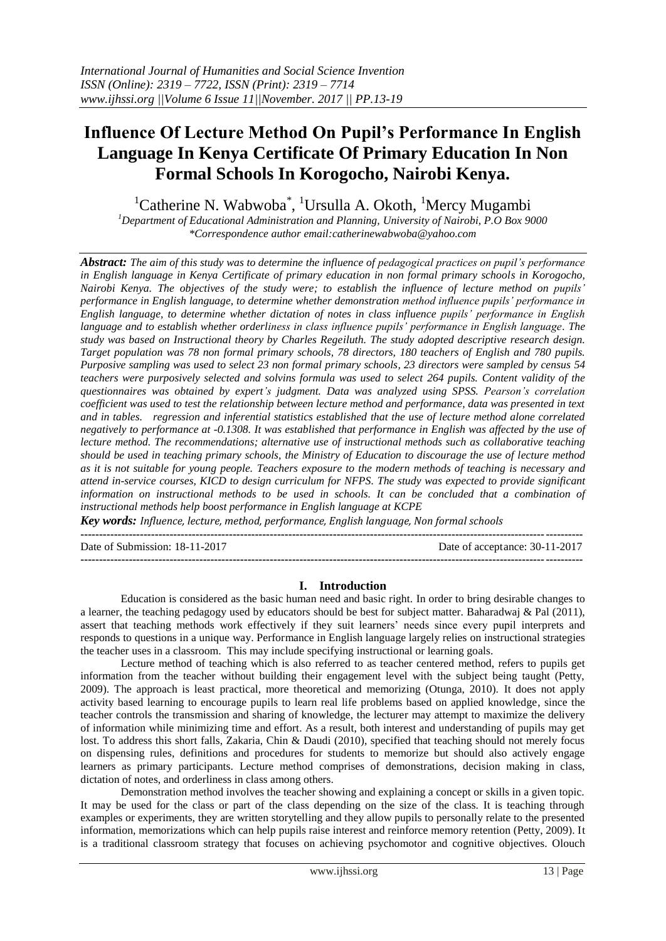# **Influence Of Lecture Method On Pupil's Performance In English Language In Kenya Certificate Of Primary Education In Non Formal Schools In Korogocho, Nairobi Kenya.**

<sup>1</sup>Catherine N. Wabwoba<sup>\*</sup>, <sup>1</sup>Ursulla A. Okoth, <sup>1</sup>Mercy Mugambi

*<sup>1</sup>Department of Educational Administration and Planning, University of Nairobi, P.O Box 9000 \*Correspondence author email:catherinewabwoba@yahoo.com*

*Abstract: The aim of this study was to determine the influence of pedagogical practices on pupil's performance in English language in Kenya Certificate of primary education in non formal primary schools in Korogocho, Nairobi Kenya. The objectives of the study were; to establish the influence of lecture method on pupils' performance in English language, to determine whether demonstration method influence pupils' performance in English language, to determine whether dictation of notes in class influence pupils' performance in English language and to establish whether orderliness in class influence pupils' performance in English language. The study was based on Instructional theory by Charles Regeiluth. The study adopted descriptive research design. Target population was 78 non formal primary schools, 78 directors, 180 teachers of English and 780 pupils. Purposive sampling was used to select 23 non formal primary schools, 23 directors were sampled by census 54 teachers were purposively selected and solvins formula was used to select 264 pupils. Content validity of the questionnaires was obtained by expert's judgment. Data was analyzed using SPSS. Pearson's correlation coefficient was used to test the relationship between lecture method and performance, data was presented in text and in tables. regression and inferential statistics established that the use of lecture method alone correlated negatively to performance at -0.1308. It was established that performance in English was affected by the use of lecture method. The recommendations; alternative use of instructional methods such as collaborative teaching should be used in teaching primary schools, the Ministry of Education to discourage the use of lecture method as it is not suitable for young people. Teachers exposure to the modern methods of teaching is necessary and attend in-service courses, KICD to design curriculum for NFPS. The study was expected to provide significant information on instructional methods to be used in schools. It can be concluded that a combination of instructional methods help boost performance in English language at KCPE*

*Key words: Influence, lecture, method, performance, English language, Non formal schools*

**---------------------------------------------------------------------------------------------------------------------------------------** Date of Submission: 18-11-2017 Date of acceptance: 30-11-2017 **---------------------------------------------------------------------------------------------------------------------------------------**

# **I. Introduction**

Education is considered as the basic human need and basic right. In order to bring desirable changes to a learner, the teaching pedagogy used by educators should be best for subject matter. Baharadwaj & Pal (2011), assert that teaching methods work effectively if they suit learners' needs since every pupil interprets and responds to questions in a unique way. Performance in English language largely relies on instructional strategies the teacher uses in a classroom. This may include specifying instructional or learning goals.

Lecture method of teaching which is also referred to as teacher centered method, refers to pupils get information from the teacher without building their engagement level with the subject being taught (Petty, 2009). The approach is least practical, more theoretical and memorizing (Otunga, 2010). It does not apply activity based learning to encourage pupils to learn real life problems based on applied knowledge, since the teacher controls the transmission and sharing of knowledge, the lecturer may attempt to maximize the delivery of information while minimizing time and effort. As a result, both interest and understanding of pupils may get lost. To address this short falls, Zakaria, Chin & Daudi (2010), specified that teaching should not merely focus on dispensing rules, definitions and procedures for students to memorize but should also actively engage learners as primary participants. Lecture method comprises of demonstrations, decision making in class, dictation of notes, and orderliness in class among others.

Demonstration method involves the teacher showing and explaining a concept or skills in a given topic. It may be used for the class or part of the class depending on the size of the class. It is teaching through examples or experiments, they are written storytelling and they allow pupils to personally relate to the presented information, memorizations which can help pupils raise interest and reinforce memory retention (Petty, 2009). It is a traditional classroom strategy that focuses on achieving psychomotor and cognitive objectives. Olouch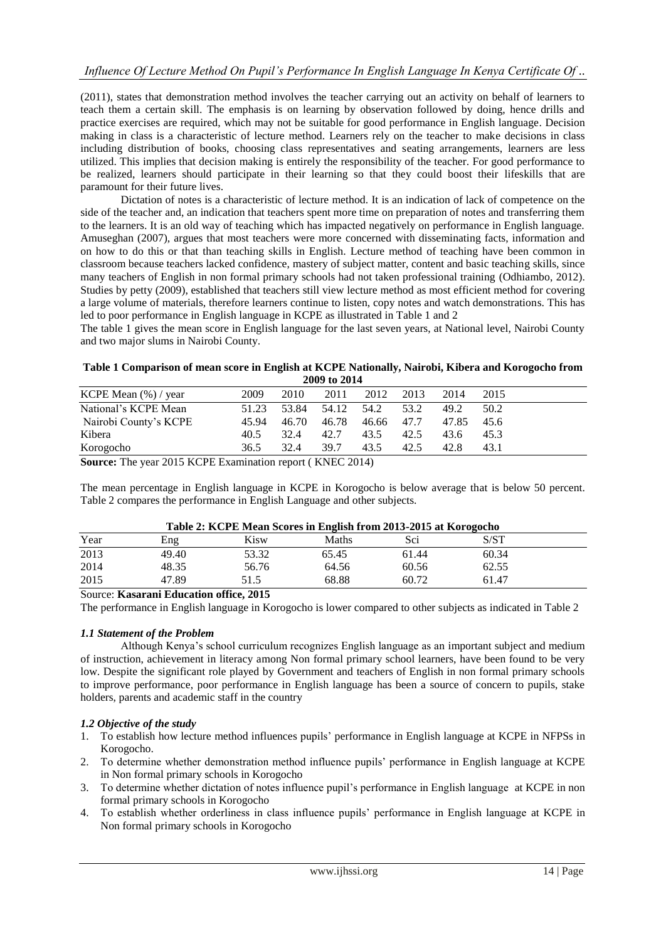(2011), states that demonstration method involves the teacher carrying out an activity on behalf of learners to teach them a certain skill. The emphasis is on learning by observation followed by doing, hence drills and practice exercises are required, which may not be suitable for good performance in English language. Decision making in class is a characteristic of lecture method. Learners rely on the teacher to make decisions in class including distribution of books, choosing class representatives and seating arrangements, learners are less utilized. This implies that decision making is entirely the responsibility of the teacher. For good performance to be realized, learners should participate in their learning so that they could boost their lifeskills that are paramount for their future lives.

Dictation of notes is a characteristic of lecture method. It is an indication of lack of competence on the side of the teacher and, an indication that teachers spent more time on preparation of notes and transferring them to the learners. It is an old way of teaching which has impacted negatively on performance in English language. Amuseghan (2007), argues that most teachers were more concerned with disseminating facts, information and on how to do this or that than teaching skills in English. Lecture method of teaching have been common in classroom because teachers lacked confidence, mastery of subject matter, content and basic teaching skills, since many teachers of English in non formal primary schools had not taken professional training (Odhiambo, 2012). Studies by petty (2009), established that teachers still view lecture method as most efficient method for covering a large volume of materials, therefore learners continue to listen, copy notes and watch demonstrations. This has led to poor performance in English language in KCPE as illustrated in Table 1 and 2

The table 1 gives the mean score in English language for the last seven years, at National level, Nairobi County and two major slums in Nairobi County.

#### **Table 1 Comparison of mean score in English at KCPE Nationally, Nairobi, Kibera and Korogocho from 2009 to 2014**

|                         |       |       | 2009 to 2014 |       |      |       |      |
|-------------------------|-------|-------|--------------|-------|------|-------|------|
| KCPE Mean $(\%)$ / year | 2009  | 2010  | 2011         | 2012  | 2013 | 2014  | 2015 |
| National's KCPE Mean    | 51.23 | 53.84 | 54.12        | 54.2  | 53.2 | 49.2  | 50.2 |
| Nairobi County's KCPE   | 45.94 | 46.70 | 46.78        | 46.66 | 47.7 | 47.85 | 45.6 |
| Kibera                  | 40.5  | 32.4  | 42.7         | 43.5  | 42.5 | 43.6  | 45.3 |
| Korogocho               | 36.5  | 32.4  | 39.7         | 43.5  | 42.5 | 42.8  | 43.1 |

**Source:** The year 2015 KCPE Examination report ( KNEC 2014)

The mean percentage in English language in KCPE in Korogocho is below average that is below 50 percent. Table 2 compares the performance in English Language and other subjects.

## **Table 2: KCPE Mean Scores in English from 2013-2015 at Korogocho**

|      | Table 2. IVer 12 mean beares in English Hom 2015-2015 at IV0T0gocho |       |       |       |       |  |
|------|---------------------------------------------------------------------|-------|-------|-------|-------|--|
| Year | Eng                                                                 | Kisw  | Maths | Sci   | S/ST  |  |
| 2013 | 49.40                                                               | 53.32 | 65.45 | 61.44 | 60.34 |  |
| 2014 | 48.35                                                               | 56.76 | 64.56 | 60.56 | 62.55 |  |
| 2015 | 47.89                                                               | 51.5  | 68.88 | 60.72 | 61.47 |  |

## Source: **Kasarani Education office, 2015**

The performance in English language in Korogocho is lower compared to other subjects as indicated in Table 2

## *1.1 Statement of the Problem*

Although Kenya's school curriculum recognizes English language as an important subject and medium of instruction, achievement in literacy among Non formal primary school learners, have been found to be very low. Despite the significant role played by Government and teachers of English in non formal primary schools to improve performance, poor performance in English language has been a source of concern to pupils, stake holders, parents and academic staff in the country

## *1.2 Objective of the study*

- 1. To establish how lecture method influences pupils' performance in English language at KCPE in NFPSs in Korogocho.
- 2. To determine whether demonstration method influence pupils' performance in English language at KCPE in Non formal primary schools in Korogocho
- 3. To determine whether dictation of notes influence pupil's performance in English language at KCPE in non formal primary schools in Korogocho
- 4. To establish whether orderliness in class influence pupils' performance in English language at KCPE in Non formal primary schools in Korogocho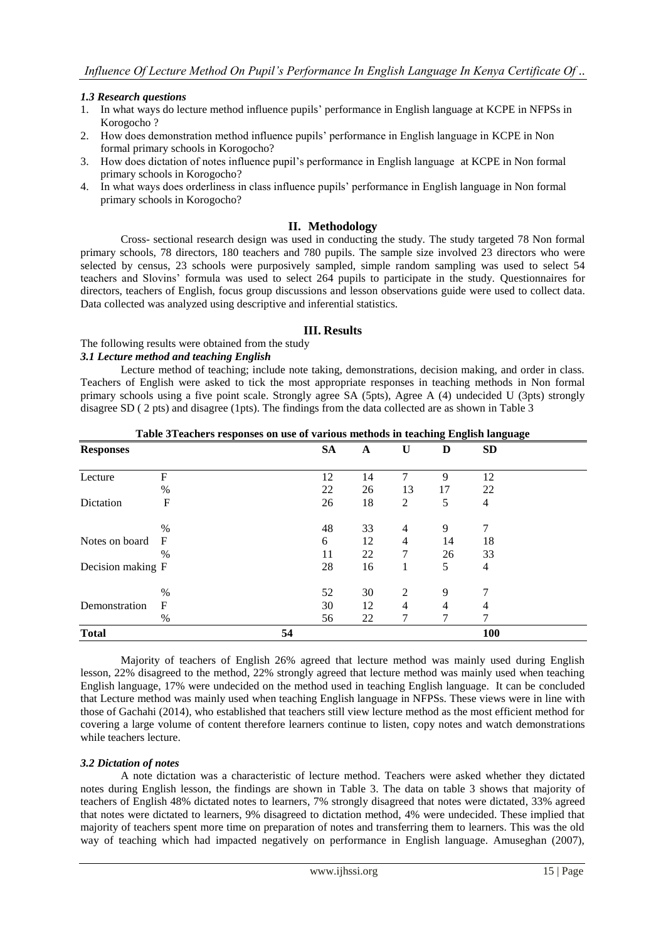## *1.3 Research questions*

- 1. In what ways do lecture method influence pupils' performance in English language at KCPE in NFPSs in Korogocho ?
- 2. How does demonstration method influence pupils' performance in English language in KCPE in Non formal primary schools in Korogocho?
- 3. How does dictation of notes influence pupil's performance in English language at KCPE in Non formal primary schools in Korogocho?
- 4. In what ways does orderliness in class influence pupils' performance in English language in Non formal primary schools in Korogocho?

### **II. Methodology**

Cross- sectional research design was used in conducting the study. The study targeted 78 Non formal primary schools, 78 directors, 180 teachers and 780 pupils. The sample size involved 23 directors who were selected by census, 23 schools were purposively sampled, simple random sampling was used to select 54 teachers and Slovins' formula was used to select 264 pupils to participate in the study. Questionnaires for directors, teachers of English, focus group discussions and lesson observations guide were used to collect data. Data collected was analyzed using descriptive and inferential statistics.

## **III. Results**

## The following results were obtained from the study

#### *3.1 Lecture method and teaching English*

Lecture method of teaching; include note taking, demonstrations, decision making, and order in class. Teachers of English were asked to tick the most appropriate responses in teaching methods in Non formal primary schools using a five point scale. Strongly agree SA (5pts), Agree A (4) undecided U (3pts) strongly disagree SD ( 2 pts) and disagree (1pts). The findings from the data collected are as shown in Table 3

| Table 3Teachers responses on use of various methods in teaching English language |  |
|----------------------------------------------------------------------------------|--|
|                                                                                  |  |

| <b>Responses</b>  |            |    | <b>SA</b> | A  | $\bf U$        | D  | <b>SD</b>      |  |
|-------------------|------------|----|-----------|----|----------------|----|----------------|--|
|                   |            |    |           |    |                |    |                |  |
| Lecture           | F          |    | 12        | 14 | 7              | 9  | 12             |  |
|                   | $\%$       |    | 22        | 26 | 13             | 17 | 22             |  |
| Dictation         | F          |    | 26        | 18 | $\overline{c}$ | 5  | 4              |  |
|                   | $\%$       |    | 48        | 33 | $\overline{4}$ | 9  | 7              |  |
| Notes on board    | $_{\rm F}$ |    | 6         | 12 | $\overline{4}$ | 14 | 18             |  |
|                   | $\%$       |    | 11        | 22 | 7              | 26 | 33             |  |
| Decision making F |            |    | 28        | 16 | 1              | 5  | $\overline{4}$ |  |
|                   | %          |    | 52        | 30 | $\overline{2}$ | 9  | 7              |  |
| Demonstration     | F          |    | 30        | 12 | $\overline{4}$ | 4  | $\overline{4}$ |  |
|                   | %          |    | 56        | 22 | 7              | 7  | 7              |  |
| <b>Total</b>      |            | 54 |           |    |                |    | 100            |  |

Majority of teachers of English 26% agreed that lecture method was mainly used during English lesson, 22% disagreed to the method, 22% strongly agreed that lecture method was mainly used when teaching English language, 17% were undecided on the method used in teaching English language. It can be concluded that Lecture method was mainly used when teaching English language in NFPSs. These views were in line with those of Gachahi (2014), who established that teachers still view lecture method as the most efficient method for covering a large volume of content therefore learners continue to listen, copy notes and watch demonstrations while teachers lecture.

## *3.2 Dictation of notes*

A note dictation was a characteristic of lecture method. Teachers were asked whether they dictated notes during English lesson, the findings are shown in Table 3. The data on table 3 shows that majority of teachers of English 48% dictated notes to learners, 7% strongly disagreed that notes were dictated, 33% agreed that notes were dictated to learners, 9% disagreed to dictation method, 4% were undecided. These implied that majority of teachers spent more time on preparation of notes and transferring them to learners. This was the old way of teaching which had impacted negatively on performance in English language. Amuseghan (2007),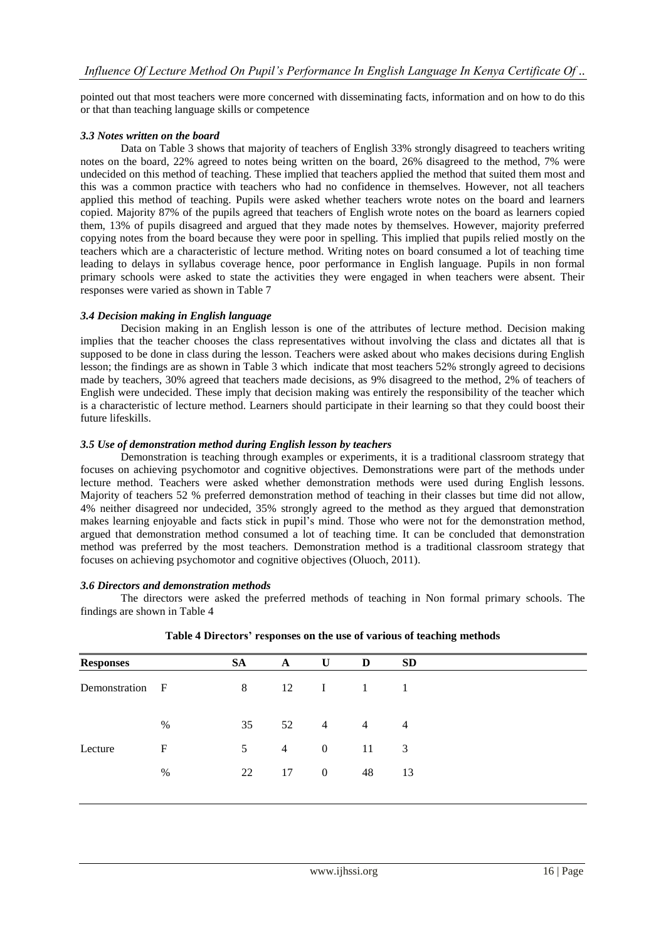pointed out that most teachers were more concerned with disseminating facts, information and on how to do this or that than teaching language skills or competence

#### *3.3 Notes written on the board*

Data on Table 3 shows that majority of teachers of English 33% strongly disagreed to teachers writing notes on the board, 22% agreed to notes being written on the board, 26% disagreed to the method, 7% were undecided on this method of teaching. These implied that teachers applied the method that suited them most and this was a common practice with teachers who had no confidence in themselves. However, not all teachers applied this method of teaching. Pupils were asked whether teachers wrote notes on the board and learners copied. Majority 87% of the pupils agreed that teachers of English wrote notes on the board as learners copied them, 13% of pupils disagreed and argued that they made notes by themselves. However, majority preferred copying notes from the board because they were poor in spelling. This implied that pupils relied mostly on the teachers which are a characteristic of lecture method. Writing notes on board consumed a lot of teaching time leading to delays in syllabus coverage hence, poor performance in English language. Pupils in non formal primary schools were asked to state the activities they were engaged in when teachers were absent. Their responses were varied as shown in Table 7

#### *3.4 Decision making in English language*

Decision making in an English lesson is one of the attributes of lecture method. Decision making implies that the teacher chooses the class representatives without involving the class and dictates all that is supposed to be done in class during the lesson. Teachers were asked about who makes decisions during English lesson; the findings are as shown in Table 3 which indicate that most teachers 52% strongly agreed to decisions made by teachers, 30% agreed that teachers made decisions, as 9% disagreed to the method, 2% of teachers of English were undecided. These imply that decision making was entirely the responsibility of the teacher which is a characteristic of lecture method. Learners should participate in their learning so that they could boost their future lifeskills.

#### *3.5 Use of demonstration method during English lesson by teachers*

Demonstration is teaching through examples or experiments, it is a traditional classroom strategy that focuses on achieving psychomotor and cognitive objectives. Demonstrations were part of the methods under lecture method. Teachers were asked whether demonstration methods were used during English lessons. Majority of teachers 52 % preferred demonstration method of teaching in their classes but time did not allow, 4% neither disagreed nor undecided, 35% strongly agreed to the method as they argued that demonstration makes learning enjoyable and facts stick in pupil's mind. Those who were not for the demonstration method, argued that demonstration method consumed a lot of teaching time. It can be concluded that demonstration method was preferred by the most teachers. Demonstration method is a traditional classroom strategy that focuses on achieving psychomotor and cognitive objectives (Oluoch, 2011).

#### *3.6 Directors and demonstration methods*

The directors were asked the preferred methods of teaching in Non formal primary schools. The findings are shown in Table 4

| <b>Responses</b> |      | <b>SA</b> | $\mathbf{A}$   | U                    | D              | <b>SD</b>      |
|------------------|------|-----------|----------------|----------------------|----------------|----------------|
| Demonstration F  |      | 8         | 12             | $\mathbf{I}$         | 1              | 1              |
|                  | %    | 35        |                | 52<br>$\overline{4}$ | $\overline{4}$ | $\overline{4}$ |
| Lecture          | F    | 5         | $\overline{4}$ | $\overline{0}$       | 11             | 3              |
|                  | $\%$ | 22        | 17             | $\overline{0}$       | 48             | 13             |
|                  |      |           |                |                      |                |                |

**Table 4 Directors' responses on the use of various of teaching methods**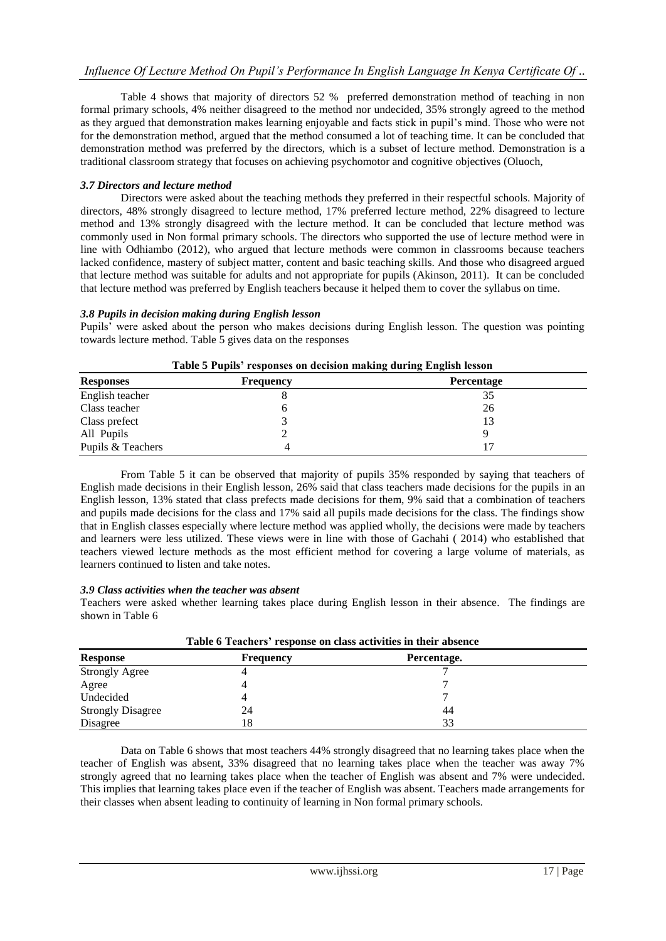Table 4 shows that majority of directors 52 % preferred demonstration method of teaching in non formal primary schools, 4% neither disagreed to the method nor undecided, 35% strongly agreed to the method as they argued that demonstration makes learning enjoyable and facts stick in pupil's mind. Those who were not for the demonstration method, argued that the method consumed a lot of teaching time. It can be concluded that demonstration method was preferred by the directors, which is a subset of lecture method. Demonstration is a traditional classroom strategy that focuses on achieving psychomotor and cognitive objectives (Oluoch,

## *3.7 Directors and lecture method*

Directors were asked about the teaching methods they preferred in their respectful schools. Majority of directors, 48% strongly disagreed to lecture method, 17% preferred lecture method, 22% disagreed to lecture method and 13% strongly disagreed with the lecture method. It can be concluded that lecture method was commonly used in Non formal primary schools. The directors who supported the use of lecture method were in line with Odhiambo (2012), who argued that lecture methods were common in classrooms because teachers lacked confidence, mastery of subject matter, content and basic teaching skills. And those who disagreed argued that lecture method was suitable for adults and not appropriate for pupils (Akinson, 2011). It can be concluded that lecture method was preferred by English teachers because it helped them to cover the syllabus on time.

## *3.8 Pupils in decision making during English lesson*

Pupils' were asked about the person who makes decisions during English lesson. The question was pointing towards lecture method. Table 5 gives data on the responses

|                   | Tubic of uping a coponses on accision maning uuring English resson |                   |  |
|-------------------|--------------------------------------------------------------------|-------------------|--|
| <b>Responses</b>  | <b>Frequency</b>                                                   | <b>Percentage</b> |  |
| English teacher   |                                                                    | 35                |  |
| Class teacher     |                                                                    | 26                |  |
| Class prefect     |                                                                    |                   |  |
| All Pupils        |                                                                    |                   |  |
| Pupils & Teachers |                                                                    |                   |  |

| Table 5 Pupils' responses on decision making during English lesson |  |  |  |
|--------------------------------------------------------------------|--|--|--|
|                                                                    |  |  |  |

From Table 5 it can be observed that majority of pupils 35% responded by saying that teachers of English made decisions in their English lesson, 26% said that class teachers made decisions for the pupils in an English lesson, 13% stated that class prefects made decisions for them, 9% said that a combination of teachers and pupils made decisions for the class and 17% said all pupils made decisions for the class. The findings show that in English classes especially where lecture method was applied wholly, the decisions were made by teachers and learners were less utilized. These views were in line with those of Gachahi ( 2014) who established that teachers viewed lecture methods as the most efficient method for covering a large volume of materials, as learners continued to listen and take notes.

## *3.9 Class activities when the teacher was absent*

Teachers were asked whether learning takes place during English lesson in their absence. The findings are shown in Table 6

| Table 6 Teachers' response on class activities in their absence |                  |             |  |  |
|-----------------------------------------------------------------|------------------|-------------|--|--|
| <b>Response</b>                                                 | <b>Frequency</b> | Percentage. |  |  |
| <b>Strongly Agree</b>                                           |                  |             |  |  |
| Agree                                                           |                  |             |  |  |
| Undecided                                                       |                  |             |  |  |
| <b>Strongly Disagree</b>                                        | 24               | 44          |  |  |
| Disagree                                                        | 18               | 33          |  |  |

Data on Table 6 shows that most teachers 44% strongly disagreed that no learning takes place when the teacher of English was absent, 33% disagreed that no learning takes place when the teacher was away 7% strongly agreed that no learning takes place when the teacher of English was absent and 7% were undecided. This implies that learning takes place even if the teacher of English was absent. Teachers made arrangements for their classes when absent leading to continuity of learning in Non formal primary schools.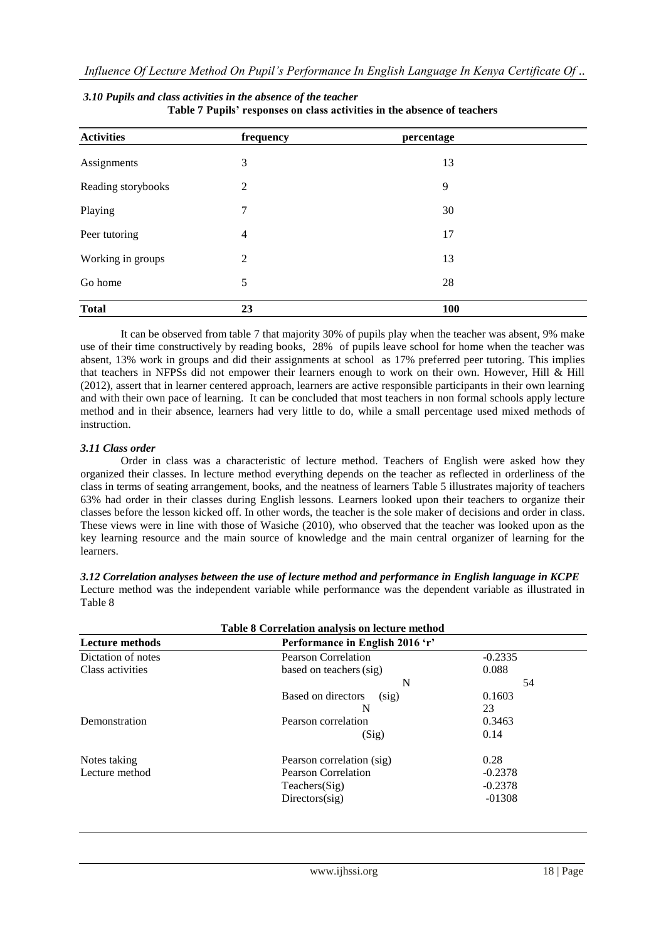| <b>Activities</b>  | frequency      | percentage |  |
|--------------------|----------------|------------|--|
| Assignments        | 3              | 13         |  |
| Reading storybooks | $\overline{2}$ | 9          |  |
| Playing            | 7              | 30         |  |
| Peer tutoring      | $\overline{4}$ | 17         |  |
| Working in groups  | $\overline{2}$ | 13         |  |
| Go home            | 5              | 28         |  |
| <b>Total</b>       | 23             | 100        |  |

#### *3.10 Pupils and class activities in the absence of the teacher* **Table 7 Pupils' responses on class activities in the absence of teachers**

It can be observed from table 7 that majority 30% of pupils play when the teacher was absent, 9% make use of their time constructively by reading books, 28% of pupils leave school for home when the teacher was absent, 13% work in groups and did their assignments at school as 17% preferred peer tutoring. This implies that teachers in NFPSs did not empower their learners enough to work on their own. However, Hill & Hill (2012), assert that in learner centered approach, learners are active responsible participants in their own learning and with their own pace of learning. It can be concluded that most teachers in non formal schools apply lecture method and in their absence, learners had very little to do, while a small percentage used mixed methods of instruction.

## *3.11 Class order*

Order in class was a characteristic of lecture method. Teachers of English were asked how they organized their classes. In lecture method everything depends on the teacher as reflected in orderliness of the class in terms of seating arrangement, books, and the neatness of learners Table 5 illustrates majority of teachers 63% had order in their classes during English lessons. Learners looked upon their teachers to organize their classes before the lesson kicked off. In other words, the teacher is the sole maker of decisions and order in class. These views were in line with those of Wasiche (2010), who observed that the teacher was looked upon as the key learning resource and the main source of knowledge and the main central organizer of learning for the learners.

| 1 apie 8               | Table 8 Correlation analysis on lecture method |           |
|------------------------|------------------------------------------------|-----------|
| <b>Lecture methods</b> | Performance in English 2016 'r'                |           |
| Dictation of notes     | <b>Pearson Correlation</b>                     | $-0.2335$ |
| Class activities       | based on teachers (sig)                        | 0.088     |
|                        | N                                              | 54        |
|                        | Based on directors<br>(sig)                    | 0.1603    |
|                        |                                                | 23        |

Demonstration Pearson correlation 0.3463

Notes taking Pearson correlation (sig) 0.28<br>
Lecture method Pearson Correlation -0.2378

Lecture method Pearson Correlation

*3.12 Correlation analyses between the use of lecture method and performance in English language in KCPE* Lecture method was the independent variable while performance was the dependent variable as illustrated in  $T_{\alpha}$ 1.1. $\beta$ 

| www.11hss1.org | 18   Page |
|----------------|-----------|
|                |           |

 $(Sig)$  0.14

Teachers(Sig) -0.2378 Directors(sig) -01308